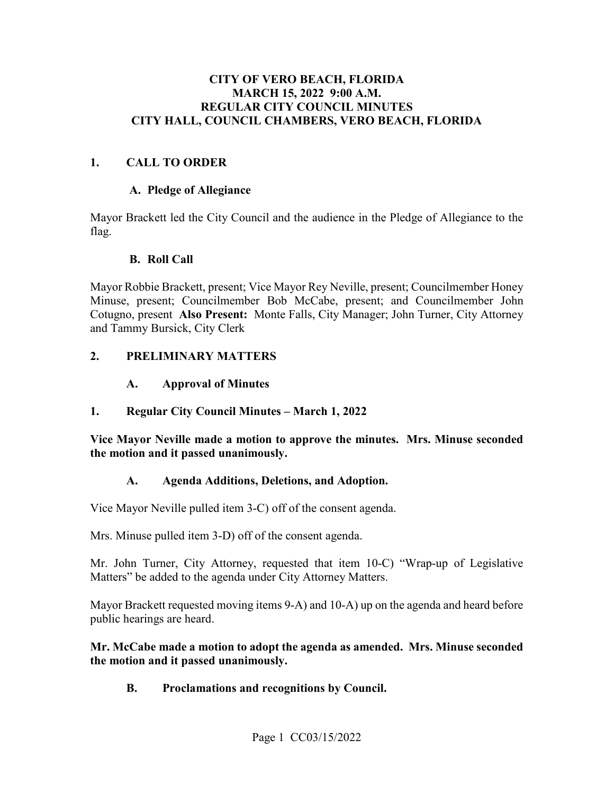#### **MARCH 15, 2022 9:00 A.M. CITY OF VERO BEACH, FLORIDA REGULAR CITY COUNCIL MINUTES CITY HALL, COUNCIL CHAMBERS, VERO BEACH, FLORIDA**

#### **1. CALL TO ORDER**

#### **A. Pledge of Allegiance**

Mayor Brackett led the City Council and the audience in the Pledge of Allegiance to the flag.

#### **B. Roll Call**

 Cotugno, present **Also Present:** Monte Falls, City Manager; John Turner, City Attorney and Tammy Bursick, City Clerk Mayor Robbie Brackett, present; Vice Mayor Rey Neville, present; Councilmember Honey Minuse, present; Councilmember Bob McCabe, present; and Councilmember John

#### **2. PRELIMINARY MATTERS**

#### $\mathbf{A}$ . **A. Approval of Minutes**

#### **1. Regular City Council Minutes – March 1, 2022**

 **Vice Mayor Neville made a motion to approve the minutes. Mrs. Minuse seconded the motion and it passed unanimously.** 

#### **A. Agenda Additions, Deletions, and Adoption.**

Vice Mayor Neville pulled item 3-C) off of the consent agenda.

Mrs. Minuse pulled item 3-D) off of the consent agenda.

 Matters" be added to the agenda under City Attorney Matters. Mr. John Turner, City Attorney, requested that item 10-C) "Wrap-up of Legislative

 public hearings are heard. Mayor Brackett requested moving items 9-A) and 10-A) up on the agenda and heard before

#### **Mr. McCabe made a motion to adopt the agenda as amended. Mrs. Minuse seconded the motion and it passed unanimously.**

**B. Proclamations and recognitions by Council.**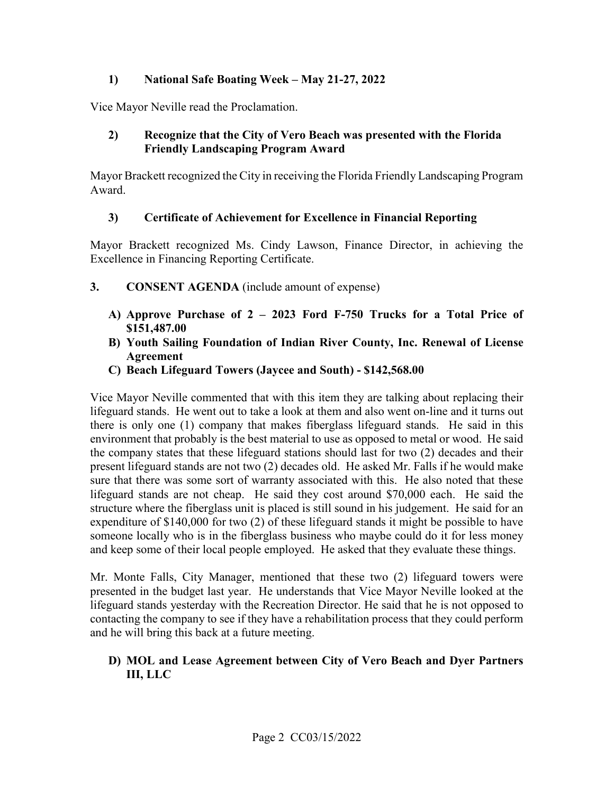#### **1) National Safe Boating Week – May 21-27, 2022**

Vice Mayor Neville read the Proclamation.

#### **2) Recognize that the City of Vero Beach was presented with the Florida Friendly Landscaping Program Award**

Mayor Brackett recognized the City in receiving the Florida Friendly Landscaping Program Award.

#### **3) Certificate of Achievement for Excellence in Financial Reporting**

 Excellence in Financing Reporting Certificate. Mayor Brackett recognized Ms. Cindy Lawson, Finance Director, in achieving the

- **3. CONSENT AGENDA** (include amount of expense)
	- **A) Approve Purchase of 2 2023 Ford F-750 Trucks for a Total Price of [\\$151,487.00](https://151,487.00)**
	- **B) Youth Sailing Foundation of Indian River County, Inc. Renewal of License Agreement**
	- **C) Beach Lifeguard Towers (Jaycee and South) \$[142,568.00](https://142,568.00)**

 Vice Mayor Neville commented that with this item they are talking about replacing their lifeguard stands. He went out to take a look at them and also went on-line and it turns out environment that probably is the best material to use as opposed to metal or wood. He said the company states that these lifeguard stations should last for two (2) decades and their there is only one (1) company that makes fiberglass lifeguard stands. He said in this present lifeguard stands are not two (2) decades old. He asked Mr. Falls if he would make sure that there was some sort of warranty associated with this. He also noted that these lifeguard stands are not cheap. He said they cost around \$70,000 each. He said the structure where the fiberglass unit is placed is still sound in his judgement. He said for an expenditure of \$140,000 for two (2) of these lifeguard stands it might be possible to have someone locally who is in the fiberglass business who maybe could do it for less money and keep some of their local people employed. He asked that they evaluate these things.

 presented in the budget last year. He understands that Vice Mayor Neville looked at the lifeguard stands yesterday with the Recreation Director. He said that he is not opposed to Mr. Monte Falls, City Manager, mentioned that these two (2) lifeguard towers were contacting the company to see if they have a rehabilitation process that they could perform and he will bring this back at a future meeting.

#### **D) MOL and Lease Agreement between City of Vero Beach and Dyer Partners III, LLC**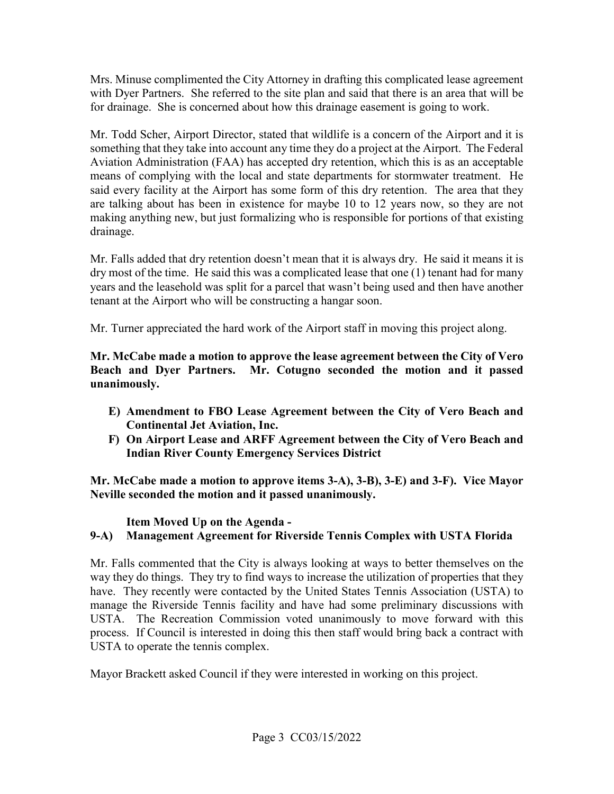with Dyer Partners. She referred to the site plan and said that there is an area that will be Mrs. Minuse complimented the City Attorney in drafting this complicated lease agreement for drainage. She is concerned about how this drainage easement is going to work.

 said every facility at the Airport has some form of this dry retention. The area that they making anything new, but just formalizing who is responsible for portions of that existing Mr. Todd Scher, Airport Director, stated that wildlife is a concern of the Airport and it is something that they take into account any time they do a project at the Airport. The Federal Aviation Administration (FAA) has accepted dry retention, which this is as an acceptable means of complying with the local and state departments for stormwater treatment. He are talking about has been in existence for maybe 10 to 12 years now, so they are not drainage.

 dry most of the time. He said this was a complicated lease that one (1) tenant had for many years and the leasehold was split for a parcel that wasn't being used and then have another Mr. Falls added that dry retention doesn't mean that it is always dry. He said it means it is tenant at the Airport who will be constructing a hangar soon.

Mr. Turner appreciated the hard work of the Airport staff in moving this project along.

 **Mr. McCabe made a motion to approve the lease agreement between the City of Vero**  unanimously. **Beach and Dyer Partners. Mr. Cotugno seconded the motion and it passed** 

- **E)** Amendment to FBO Lease Agreement between the City of Vero Beach and **Continental Jet Aviation, Inc.**
- **F) On Airport Lease and ARFF Agreement between the City of Vero Beach and Indian River County Emergency Services District**

**Mr. McCabe made a motion to approve items 3-A), 3-B), 3-E) and 3-F). Vice Mayor Neville seconded the motion and it passed unanimously.** 

**Item Moved Up on the Agenda - 9-A) Management Agreement for Riverside Tennis Complex with USTA Florida** 

Mr. Falls commented that the City is always looking at ways to better themselves on the way they do things. They try to find ways to increase the utilization of properties that they have. They recently were contacted by the United States Tennis Association (USTA) to manage the Riverside Tennis facility and have had some preliminary discussions with USTA. The Recreation Commission voted unanimously to move forward with this process. If Council is interested in doing this then staff would bring back a contract with USTA to operate the tennis complex.

Mayor Brackett asked Council if they were interested in working on this project.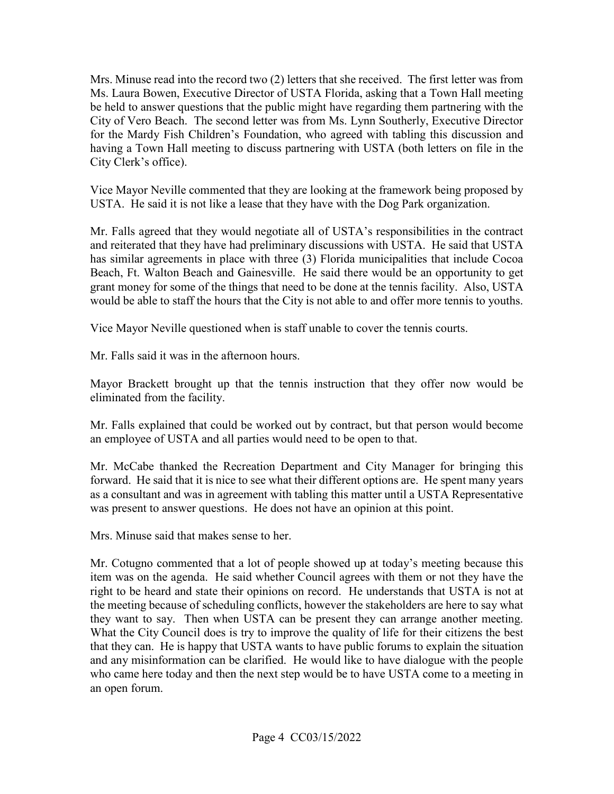City of Vero Beach. The second letter was from Ms. Lynn Southerly, Executive Director Mrs. Minuse read into the record two (2) letters that she received. The first letter was from Ms. Laura Bowen, Executive Director of USTA Florida, asking that a Town Hall meeting be held to answer questions that the public might have regarding them partnering with the for the Mardy Fish Children's Foundation, who agreed with tabling this discussion and having a Town Hall meeting to discuss partnering with USTA (both letters on file in the City Clerk's office).

Vice Mayor Neville commented that they are looking at the framework being proposed by USTA. He said it is not like a lease that they have with the Dog Park organization.

 grant money for some of the things that need to be done at the tennis facility. Also, USTA would be able to staff the hours that the City is not able to and offer more tennis to youths. Vice Mayor Neville questioned when is staff unable to cover the tennis courts. Mr. Falls agreed that they would negotiate all of USTA's responsibilities in the contract and reiterated that they have had preliminary discussions with USTA. He said that USTA has similar agreements in place with three (3) Florida municipalities that include Cocoa Beach, Ft. Walton Beach and Gainesville. He said there would be an opportunity to get

Vice Mayor Neville questioned when is staff unable to cover the tennis courts.

Mr. Falls said it was in the afternoon hours.

Mayor Brackett brought up that the tennis instruction that they offer now would be eliminated from the facility.

Mr. Falls explained that could be worked out by contract, but that person would become an employee of USTA and all parties would need to be open to that.

 forward. He said that it is nice to see what their different options are. He spent many years Mr. McCabe thanked the Recreation Department and City Manager for bringing this as a consultant and was in agreement with tabling this matter until a USTA Representative was present to answer questions. He does not have an opinion at this point.

Mrs. Minuse said that makes sense to her.

 they want to say. Then when USTA can be present they can arrange another meeting. What the City Council does is try to improve the quality of life for their citizens the best and any misinformation can be clarified. He would like to have dialogue with the people who came here today and then the next step would be to have USTA come to a meeting in Mr. Cotugno commented that a lot of people showed up at today's meeting because this item was on the agenda. He said whether Council agrees with them or not they have the right to be heard and state their opinions on record. He understands that USTA is not at the meeting because of scheduling conflicts, however the stakeholders are here to say what that they can. He is happy that USTA wants to have public forums to explain the situation an open forum.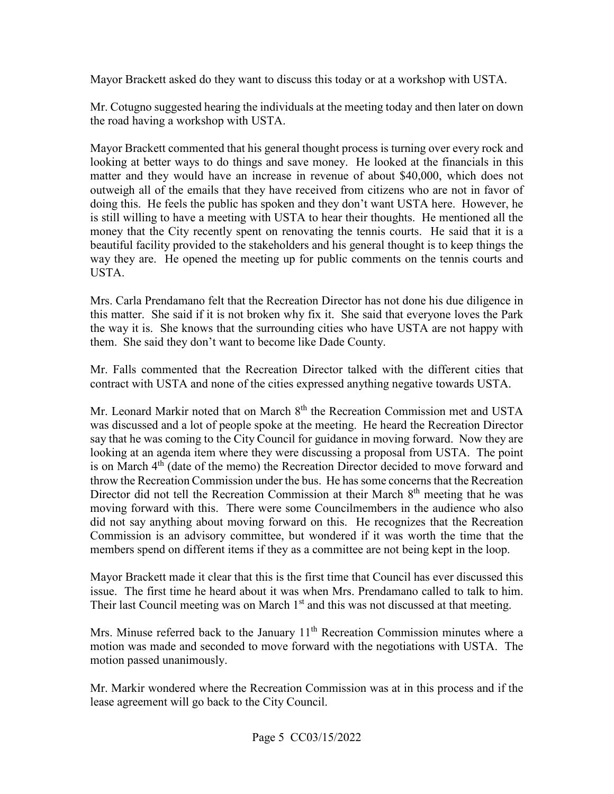Mayor Brackett asked do they want to discuss this today or at a workshop with USTA.

Mr. Cotugno suggested hearing the individuals at the meeting today and then later on down the road having a workshop with USTA.

 Mayor Brackett commented that his general thought process is turning over every rock and matter and they would have an increase in revenue of about \$40,000, which does not doing this. He feels the public has spoken and they don't want USTA here. However, he is still willing to have a meeting with USTA to hear their thoughts. He mentioned all the money that the City recently spent on renovating the tennis courts. He said that it is a beautiful facility provided to the stakeholders and his general thought is to keep things the USTA. looking at better ways to do things and save money. He looked at the financials in this outweigh all of the emails that they have received from citizens who are not in favor of way they are. He opened the meeting up for public comments on the tennis courts and

 this matter. She said if it is not broken why fix it. She said that everyone loves the Park the way it is. She knows that the surrounding cities who have USTA are not happy with them. She said they don't want to become like Dade County. Mrs. Carla Prendamano felt that the Recreation Director has not done his due diligence in

 contract with USTA and none of the cities expressed anything negative towards USTA. Mr. Falls commented that the Recreation Director talked with the different cities that

 say that he was coming to the City Council for guidance in moving forward. Now they are did not say anything about moving forward on this. He recognizes that the Recreation Mr. Leonard Markir noted that on March 8<sup>th</sup> the Recreation Commission met and USTA was discussed and a lot of people spoke at the meeting. He heard the Recreation Director looking at an agenda item where they were discussing a proposal from USTA. The point is on March  $4<sup>th</sup>$  (date of the memo) the Recreation Director decided to move forward and throw the Recreation Commission under the bus. He has some concerns that the Recreation Director did not tell the Recreation Commission at their March 8<sup>th</sup> meeting that he was moving forward with this. There were some Councilmembers in the audience who also Commission is an advisory committee, but wondered if it was worth the time that the members spend on different items if they as a committee are not being kept in the loop.

issue. The first time he heard about it was when Mrs. Prendamano called to talk to him. Mayor Brackett made it clear that this is the first time that Council has ever discussed this Their last Council meeting was on March  $1<sup>st</sup>$  and this was not discussed at that meeting.

Mrs. Minuse referred back to the January 11<sup>th</sup> Recreation Commission minutes where a motion was made and seconded to move forward with the negotiations with USTA. The motion passed unanimously.

 Mr. Markir wondered where the Recreation Commission was at in this process and if the lease agreement will go back to the City Council.<br>Page 5 CC03/15/2022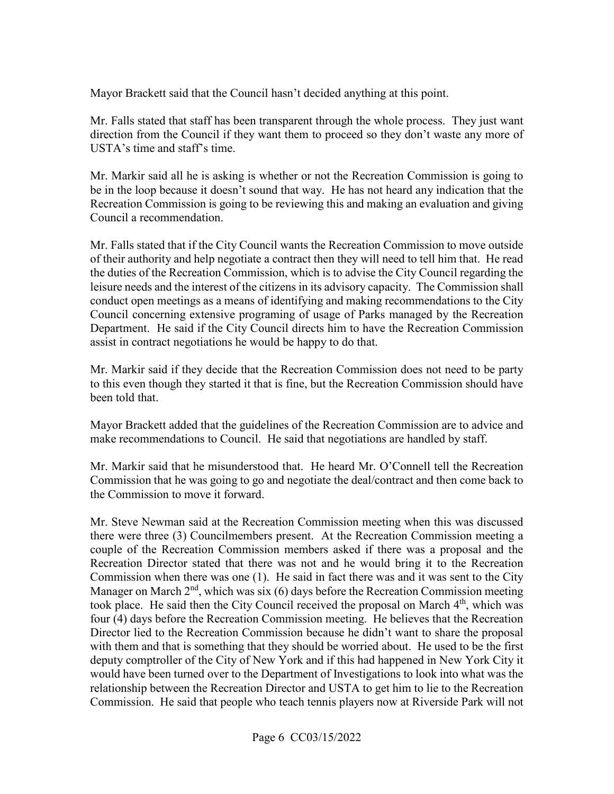Mayor Brackett said that the Council hasn't decided anything at this point.

USTA's time and staff's time. Mr. Falls stated that staff has been transparent through the whole process. They just want direction from the Council if they want them to proceed so they don't waste any more of

Mr. Markir said all he is asking is whether or not the Recreation Commission is going to be in the loop because it doesn't sound that way. He has not heard any indication that the Recreation Commission is going to be reviewing this and making an evaluation and giving Council a recommendation.

Mr. Falls stated that if the City Council wants the Recreation Commission to move outside of their authority and help negotiate a contract then they will need to tell him that. He read the duties of the Recreation Commission, which is to advise the City Council regarding the leisure needs and the interest of the citizens in its advisory capacity. The Commission shall conduct open meetings as a means of identifying and making recommendations to the City Council concerning extensive programing of usage of Parks managed by the Recreation Department. He said if the City Council directs him to have the Recreation Commission assist in contract negotiations he would be happy to do that.

been told that. Mr. Markir said if they decide that the Recreation Commission does not need to be party to this even though they started it that is fine, but the Recreation Commission should have

 make recommendations to Council. He said that negotiations are handled by staff. Mayor Brackett added that the guidelines of the Recreation Commission are to advice and

Mr. Markir said that he misunderstood that. He heard Mr. O'Connell tell the Recreation Commission that he was going to go and negotiate the deal/contract and then come back to the Commission to move it forward.

Mr. Steve Newman said at the Recreation Commission meeting when this was discussed Mr. Steve Newman said at the Recreation Commission meeting when this was discussed there were three (3) Councilmembers present. At the Recreation Commission meeting a Recreation Director stated that there was not and he would bring it to the Recreation couple of the Recreation Commission members asked if there was a proposal and the Commission when there was one (1). He said in fact there was and it was sent to the City Manager on March  $2<sup>nd</sup>$ , which was six (6) days before the Recreation Commission meeting took place. He said then the City Council received the proposal on March  $4<sup>th</sup>$ , which was four (4) days before the Recreation Commission meeting. He believes that the Recreation Director lied to the Recreation Commission because he didn't want to share the proposal with them and that is something that they should be worried about. He used to be the first deputy comptroller of the City of New York and if this had happened in New York City it would have been turned over to the Department of Investigations to look into what was the relationship between the Recreation Director and USTA to get him to lie to the Recreation Commission. He said that people who teach tennis players now at Riverside Park will not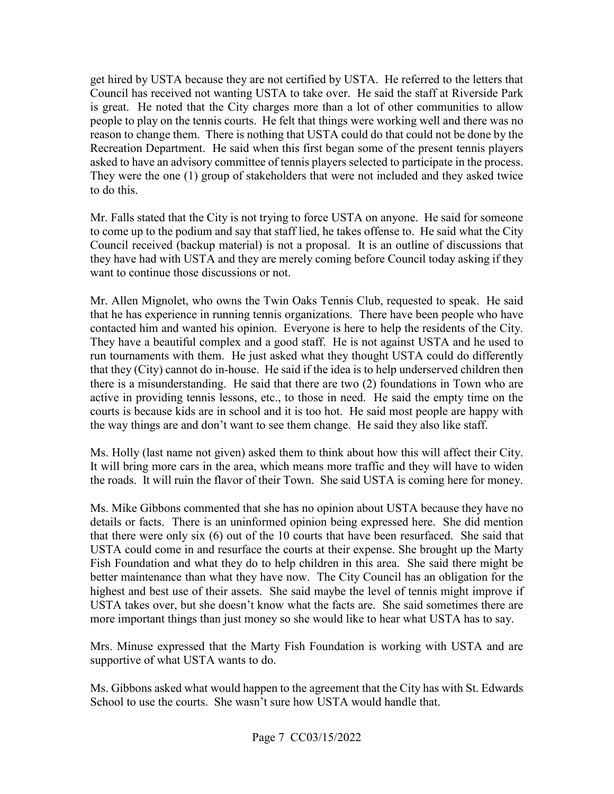get hired by USTA because they are not certified by USTA. He referred to the letters that Council has received not wanting USTA to take over. He said the staff at Riverside Park Recreation Department. He said when this first began some of the present tennis players asked to have an advisory committee of tennis players selected to participate in the process. asked to have an advisory committee of tennis players selected to participate in the process. They were the one (1) group of stakeholders that were not included and they asked twice is great. He noted that the City charges more than a lot of other communities to allow people to play on the tennis courts. He felt that things were working well and there was no reason to change them. There is nothing that USTA could do that could not be done by the to do this.

 they have had with USTA and they are merely coming before Council today asking if they Mr. Falls stated that the City is not trying to force USTA on anyone. He said for someone to come up to the podium and say that staff lied, he takes offense to. He said what the City Council received (backup material) is not a proposal. It is an outline of discussions that want to continue those discussions or not.

 that he has experience in running tennis organizations. There have been people who have contacted him and wanted his opinion. Everyone is here to help the residents of the City. the way things are and don't want to see them change. He said they also like staff. Mr. Allen Mignolet, who owns the Twin Oaks Tennis Club, requested to speak. He said They have a beautiful complex and a good staff. He is not against USTA and he used to run tournaments with them. He just asked what they thought USTA could do differently that they (City) cannot do in-house. He said if the idea is to help underserved children then there is a misunderstanding. He said that there are two (2) foundations in Town who are active in providing tennis lessons, etc., to those in need. He said the empty time on the courts is because kids are in school and it is too hot. He said most people are happy with

Ms. Holly (last name not given) asked them to think about how this will affect their City. Ms. Holly (last name not given) asked them to think about how this will affect their City.<br>It will bring more cars in the area, which means more traffic and they will have to widen the roads. It will ruin the flavor of their Town. She said USTA is coming here for money.

 Ms. Mike Gibbons commented that she has no opinion about USTA because they have no details or facts. There is an uninformed opinion being expressed here. She did mention that there were only six (6) out of the 10 courts that have been resurfaced. She said that Fish Foundation and what they do to help children in this area. She said there might be highest and best use of their assets. She said maybe the level of tennis might improve if USTA takes over, but she doesn't know what the facts are. She said sometimes there are more important things than just money so she would like to hear what USTA has to say. USTA could come in and resurface the courts at their expense. She brought up the Marty better maintenance than what they have now. The City Council has an obligation for the

 Mrs. Minuse expressed that the Marty Fish Foundation is working with USTA and are supportive of what USTA wants to do.

Ms. Gibbons asked what would happen to the agreement that the City has with St. Edwards School to use the courts. She wasn't sure how USTA would handle that.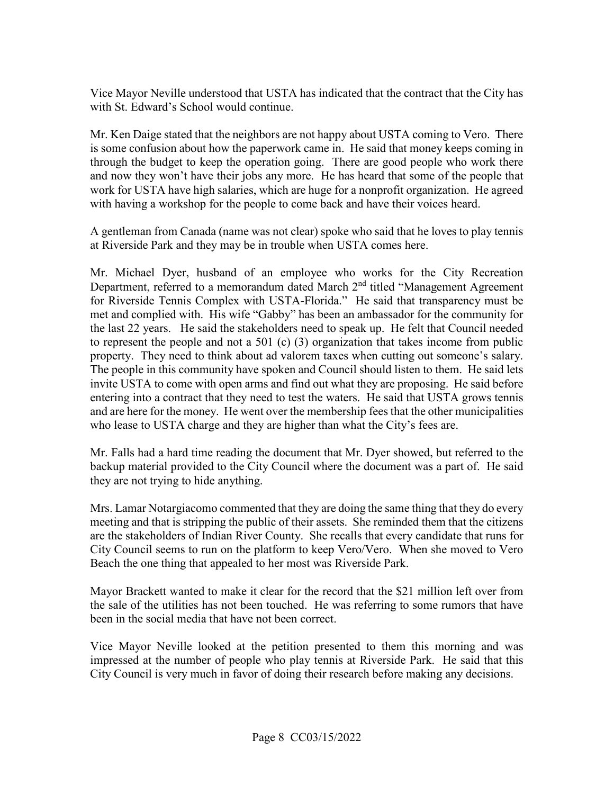Vice Mayor Neville understood that USTA has indicated that the contract that the City has with St. Edward's School would continue.

 Mr. Ken Daige stated that the neighbors are not happy about USTA coming to Vero. There is some confusion about how the paperwork came in. He said that money keeps coming in with having a workshop for the people to come back and have their voices heard. through the budget to keep the operation going. There are good people who work there and now they won't have their jobs any more. He has heard that some of the people that work for USTA have high salaries, which are huge for a nonprofit organization. He agreed

A gentleman from Canada (name was not clear) spoke who said that he loves to play tennis at Riverside Park and they may be in trouble when USTA comes here.

Department, referred to a memorandum dated March 2<sup>nd</sup> titled "Management Agreement for Riverside Tennis Complex with USTA-Florida." He said that transparency must be the last 22 years. He said the stakeholders need to speak up. He felt that Council needed property. They need to think about ad valorem taxes when cutting out someone's salary. property. They need to think about ad valorem taxes when cutting out someone's salary. The people in this community have spoken and Council should listen to them. He said lets invite USTA to come with open arms and find out what they are proposing. He said before who lease to USTA charge and they are higher than what the City's fees are. Mr. Michael Dyer, husband of an employee who works for the City Recreation met and complied with. His wife "Gabby" has been an ambassador for the community for to represent the people and not a 501 (c) (3) organization that takes income from public entering into a contract that they need to test the waters. He said that USTA grows tennis and are here for the money. He went over the membership fees that the other municipalities

 backup material provided to the City Council where the document was a part of. He said they are not trying to hide anything. Mr. Falls had a hard time reading the document that Mr. Dyer showed, but referred to the

 Beach the one thing that appealed to her most was Riverside Park. Mrs. Lamar Notargiacomo commented that they are doing the same thing that they do every meeting and that is stripping the public of their assets. She reminded them that the citizens are the stakeholders of Indian River County. She recalls that every candidate that runs for City Council seems to run on the platform to keep Vero/Vero. When she moved to Vero

 Mayor Brackett wanted to make it clear for the record that the \$21 million left over from the sale of the utilities has not been touched. He was referring to some rumors that have been in the social media that have not been correct.

 City Council is very much in favor of doing their research before making any decisions. Vice Mayor Neville looked at the petition presented to them this morning and was impressed at the number of people who play tennis at Riverside Park. He said that this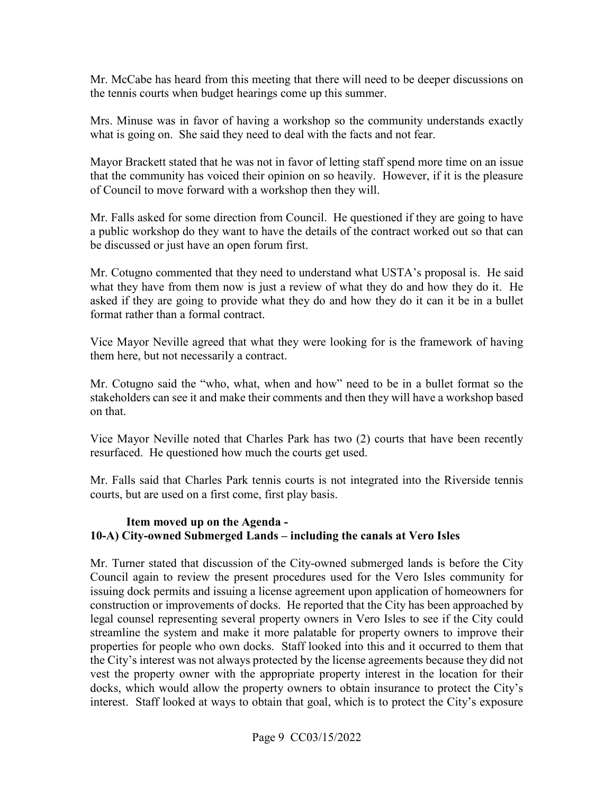Mr. McCabe has heard from this meeting that there will need to be deeper discussions on the tennis courts when budget hearings come up this summer.

Mrs. Minuse was in favor of having a workshop so the community understands exactly what is going on. She said they need to deal with the facts and not fear.

Mayor Brackett stated that he was not in favor of letting staff spend more time on an issue that the community has voiced their opinion on so heavily. However, if it is the pleasure of Council to move forward with a workshop then they will.

 be discussed or just have an open forum first. Mr. Falls asked for some direction from Council. He questioned if they are going to have a public workshop do they want to have the details of the contract worked out so that can

format rather than a formal contract. Mr. Cotugno commented that they need to understand what USTA's proposal is. He said what they have from them now is just a review of what they do and how they do it. He asked if they are going to provide what they do and how they do it can it be in a bullet

format rather than a formal contract.<br>Vice Mayor Neville agreed that what they were looking for is the framework of having them here, but not necessarily a contract.

Mr. Cotugno said the "who, what, when and how" need to be in a bullet format so the stakeholders can see it and make their comments and then they will have a workshop based on that.

 resurfaced. He questioned how much the courts get used. Vice Mayor Neville noted that Charles Park has two (2) courts that have been recently

 courts, but are used on a first come, first play basis. Mr. Falls said that Charles Park tennis courts is not integrated into the Riverside tennis

#### **Item moved up on the Agenda - 10-A) City-owned Submerged Lands – including the canals at Vero Isles**

 Council again to review the present procedures used for the Vero Isles community for legal counsel representing several property owners in Vero Isles to see if the City could interest. Staff looked at ways to obtain that goal, which is to protect the City's exposure Mr. Turner stated that discussion of the City-owned submerged lands is before the City issuing dock permits and issuing a license agreement upon application of homeowners for construction or improvements of docks. He reported that the City has been approached by streamline the system and make it more palatable for property owners to improve their properties for people who own docks. Staff looked into this and it occurred to them that the City's interest was not always protected by the license agreements because they did not vest the property owner with the appropriate property interest in the location for their docks, which would allow the property owners to obtain insurance to protect the City's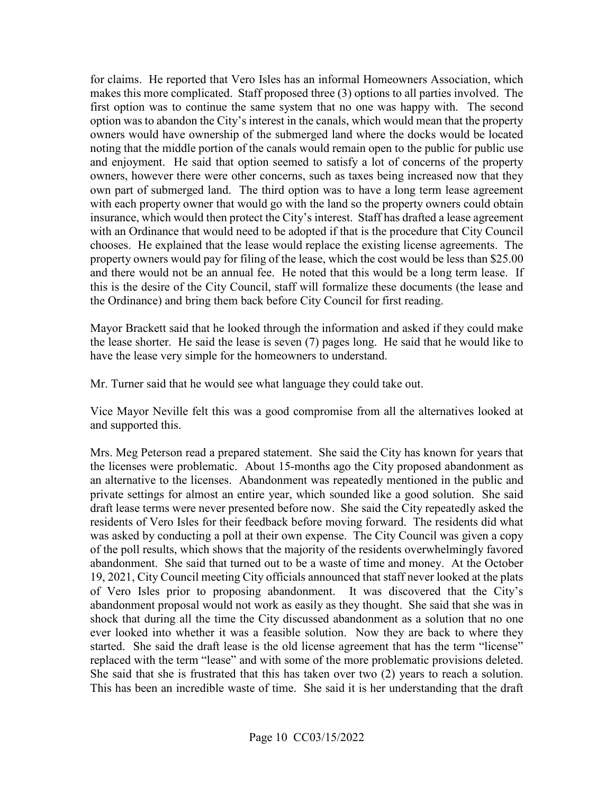first option was to continue the same system that no one was happy with. The second for claims. He reported that Vero Isles has an informal Homeowners Association, which makes this more complicated. Staff proposed three (3) options to all parties involved. The option was to abandon the City's interest in the canals, which would mean that the property owners would have ownership of the submerged land where the docks would be located noting that the middle portion of the canals would remain open to the public for public use and enjoyment. He said that option seemed to satisfy a lot of concerns of the property owners, however there were other concerns, such as taxes being increased now that they own part of submerged land. The third option was to have a long term lease agreement with each property owner that would go with the land so the property owners could obtain insurance, which would then protect the City's interest. Staff has drafted a lease agreement with an Ordinance that would need to be adopted if that is the procedure that City Council chooses. He explained that the lease would replace the existing license agreements. The property owners would pay for filing of the lease, which the cost would be less than \$25.00 and there would not be an annual fee. He noted that this would be a long term lease. If this is the desire of the City Council, staff will formalize these documents (the lease and the Ordinance) and bring them back before City Council for first reading.

 Mayor Brackett said that he looked through the information and asked if they could make the lease shorter. He said the lease is seven (7) pages long. He said that he would like to have the lease very simple for the homeowners to understand.

Mr. Turner said that he would see what language they could take out.

 Vice Mayor Neville felt this was a good compromise from all the alternatives looked at and supported this.

 Mrs. Meg Peterson read a prepared statement. She said the City has known for years that an alternative to the licenses. Abandonment was repeatedly mentioned in the public and draft lease terms were never presented before now. She said the City repeatedly asked the residents of Vero Isles for their feedback before moving forward. The residents did what was asked by conducting a poll at their own expense. The City Council was given a copy of the poll results, which shows that the majority of the residents overwhelmingly favored of Vero Isles prior to proposing abandonment. It was discovered that the City's ever looked into whether it was a feasible solution. Now they are back to where they replaced with the term "lease" and with some of the more problematic provisions deleted. the licenses were problematic. About 15-months ago the City proposed abandonment as private settings for almost an entire year, which sounded like a good solution. She said abandonment. She said that turned out to be a waste of time and money. At the October 19, 2021, City Council meeting City officials announced that staff never looked at the plats abandonment proposal would not work as easily as they thought. She said that she was in shock that during all the time the City discussed abandonment as a solution that no one started. She said the draft lease is the old license agreement that has the term "license" She said that she is frustrated that this has taken over two  $(2)$  years to reach a solution. This has been an incredible waste of time. She said it is her understanding that the draft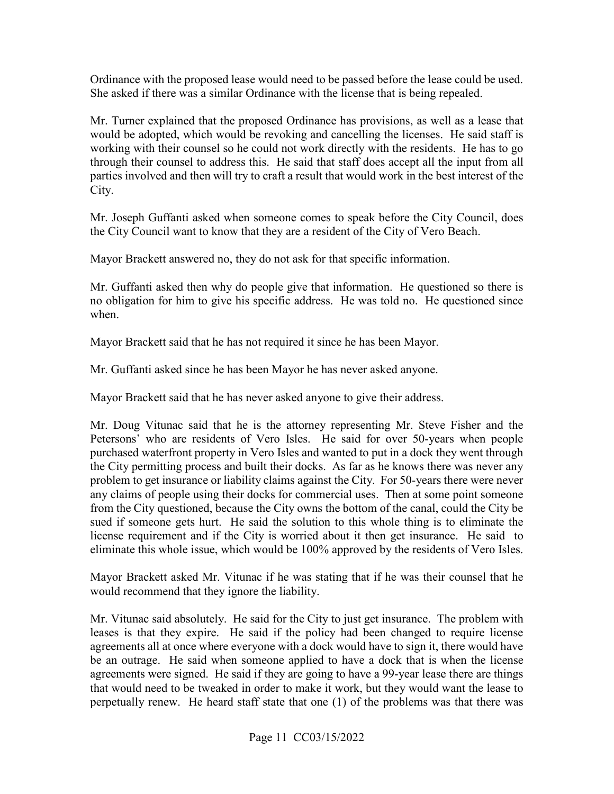Ordinance with the proposed lease would need to be passed before the lease could be used. She asked if there was a similar Ordinance with the license that is being repealed.

 working with their counsel so he could not work directly with the residents. He has to go parties involved and then will try to craft a result that would work in the best interest of the City. Mr. Turner explained that the proposed Ordinance has provisions, as well as a lease that would be adopted, which would be revoking and cancelling the licenses. He said staff is through their counsel to address this. He said that staff does accept all the input from all

 the City Council want to know that they are a resident of the City of Vero Beach. Mr. Joseph Guffanti asked when someone comes to speak before the City Council, does

Mayor Brackett answered no, they do not ask for that specific information.

 Mr. Guffanti asked then why do people give that information. He questioned so there is no obligation for him to give his specific address. He was told no. He questioned since when.

Mayor Brackett said that he has not required it since he has been Mayor. Mr. Guffanti asked since he has been Mayor he has never asked anyone.

Mayor Brackett said that he has never asked anyone to give their address.

 Mr. Doug Vitunac said that he is the attorney representing Mr. Steve Fisher and the Petersons' who are residents of Vero Isles. He said for over 50-years when people purchased waterfront property in Vero Isles and wanted to put in a dock they went through the City permitting process and built their docks. As far as he knows there was never any problem to get insurance or liability claims against the City. For 50-years there were never any claims of people using their docks for commercial uses. Then at some point someone from the City questioned, because the City owns the bottom of the canal, could the City be sued if someone gets hurt. He said the solution to this whole thing is to eliminate the license requirement and if the City is worried about it then get insurance. He said to eliminate this whole issue, which would be 100% approved by the residents of Vero Isles.

Mayor Brackett asked Mr. Vitunac if he was stating that if he was their counsel that he would recommend that they ignore the liability.

 Mr. Vitunac said absolutely. He said for the City to just get insurance. The problem with leases is that they expire. He said if the policy had been changed to require license agreements all at once where everyone with a dock would have to sign it, there would have be an outrage. He said when someone applied to have a dock that is when the license agreements were signed. He said if they are going to have a 99-year lease there are things that would need to be tweaked in order to make it work, but they would want the lease to perpetually renew. He heard staff state that one (1) of the problems was that there was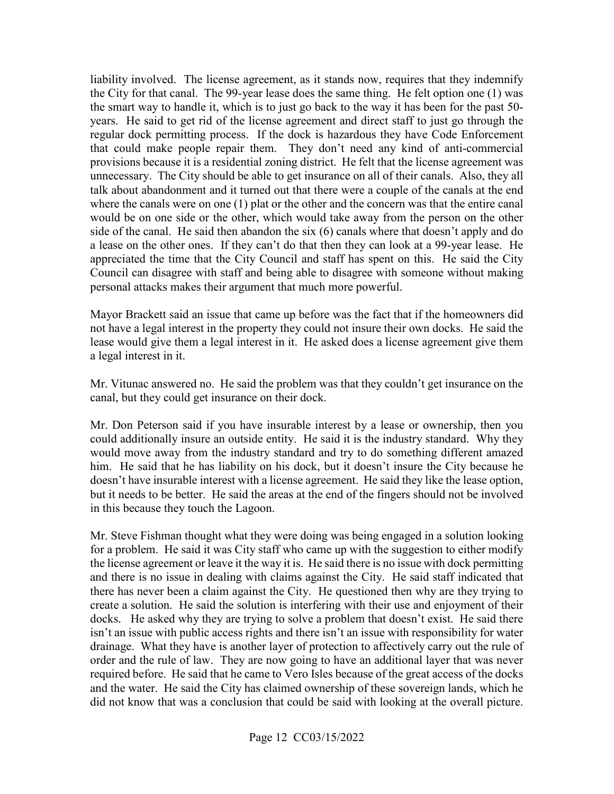provisions because it is a residential zoning district. He felt that the license agreement was unnecessary. The City should be able to get insurance on all of their canals. Also, they all liability involved. The license agreement, as it stands now, requires that they indemnify the City for that canal. The 99-year lease does the same thing. He felt option one (1) was the smart way to handle it, which is to just go back to the way it has been for the past 50 years. He said to get rid of the license agreement and direct staff to just go through the regular dock permitting process. If the dock is hazardous they have Code Enforcement that could make people repair them. They don't need any kind of anti-commercial talk about abandonment and it turned out that there were a couple of the canals at the end where the canals were on one (1) plat or the other and the concern was that the entire canal would be on one side or the other, which would take away from the person on the other side of the canal. He said then abandon the six (6) canals where that doesn't apply and do a lease on the other ones. If they can't do that then they can look at a 99-year lease. He appreciated the time that the City Council and staff has spent on this. He said the City Council can disagree with staff and being able to disagree with someone without making personal attacks makes their argument that much more powerful.

 not have a legal interest in the property they could not insure their own docks. He said the a legal interest in it. Mayor Brackett said an issue that came up before was the fact that if the homeowners did lease would give them a legal interest in it. He asked does a license agreement give them

Mr. Vitunac answered no. He said the problem was that they couldn't get insurance on the canal, but they could get insurance on their dock.

 could additionally insure an outside entity. He said it is the industry standard. Why they would move away from the industry standard and try to do something different amazed but it needs to be better. He said the areas at the end of the fingers should not be involved in this because they touch the Lagoon. Mr. Don Peterson said if you have insurable interest by a lease or ownership, then you him. He said that he has liability on his dock, but it doesn't insure the City because he doesn't have insurable interest with a license agreement. He said they like the lease option,

 Mr. Steve Fishman thought what they were doing was being engaged in a solution looking for a problem. He said it was City staff who came up with the suggestion to either modify there has never been a claim against the City. He questioned then why are they trying to drainage. What they have is another layer of protection to affectively carry out the rule of required before. He said that he came to Vero Isles because of the great access of the docks the license agreement or leave it the way it is. He said there is no issue with dock permitting and there is no issue in dealing with claims against the City. He said staff indicated that create a solution. He said the solution is interfering with their use and enjoyment of their docks. He asked why they are trying to solve a problem that doesn't exist. He said there isn't an issue with public access rights and there isn't an issue with responsibility for water order and the rule of law. They are now going to have an additional layer that was never and the water. He said the City has claimed ownership of these sovereign lands, which he did not know that was a conclusion that could be said with looking at the overall picture.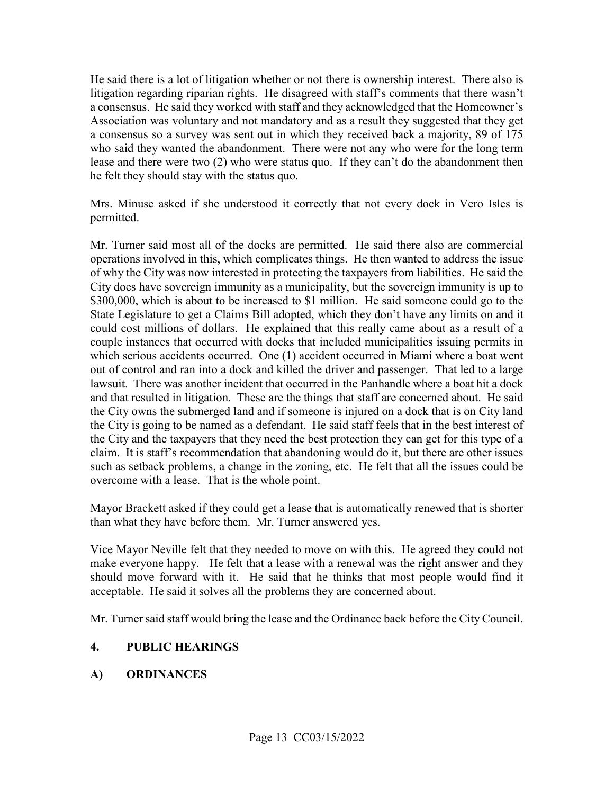Association was voluntary and not mandatory and as a result they suggested that they get He said there is a lot of litigation whether or not there is ownership interest. There also is litigation regarding riparian rights. He disagreed with staff's comments that there wasn't a consensus. He said they worked with staff and they acknowledged that the Homeowner's a consensus so a survey was sent out in which they received back a majority, 89 of 175 who said they wanted the abandonment. There were not any who were for the long term lease and there were two (2) who were status quo. If they can't do the abandonment then he felt they should stay with the status quo.

Mrs. Minuse asked if she understood it correctly that not every dock in Vero Isles is permitted.

 of why the City was now interested in protecting the taxpayers from liabilities. He said the lawsuit. There was another incident that occurred in the Panhandle where a boat hit a dock and that resulted in litigation. These are the things that staff are concerned about. He said such as setback problems, a change in the zoning, etc. He felt that all the issues could be Mr. Turner said most all of the docks are permitted. He said there also are commercial operations involved in this, which complicates things. He then wanted to address the issue City does have sovereign immunity as a municipality, but the sovereign immunity is up to \$300,000, which is about to be increased to \$1 million. He said someone could go to the State Legislature to get a Claims Bill adopted, which they don't have any limits on and it could cost millions of dollars. He explained that this really came about as a result of a couple instances that occurred with docks that included municipalities issuing permits in which serious accidents occurred. One (1) accident occurred in Miami where a boat went out of control and ran into a dock and killed the driver and passenger. That led to a large the City owns the submerged land and if someone is injured on a dock that is on City land the City is going to be named as a defendant. He said staff feels that in the best interest of the City and the taxpayers that they need the best protection they can get for this type of a claim. It is staff's recommendation that abandoning would do it, but there are other issues overcome with a lease. That is the whole point.

 Mayor Brackett asked if they could get a lease that is automatically renewed that is shorter than what they have before them. Mr. Turner answered yes.

Vice Mayor Neville felt that they needed to move on with this. He agreed they could not make everyone happy. He felt that a lease with a renewal was the right answer and they should move forward with it. He said that he thinks that most people would find it acceptable. He said it solves all the problems they are concerned about.

Mr. Turner said staff would bring the lease and the Ordinance back before the City Council.

## **4. PUBLIC HEARINGS**

## **A) ORDINANCES**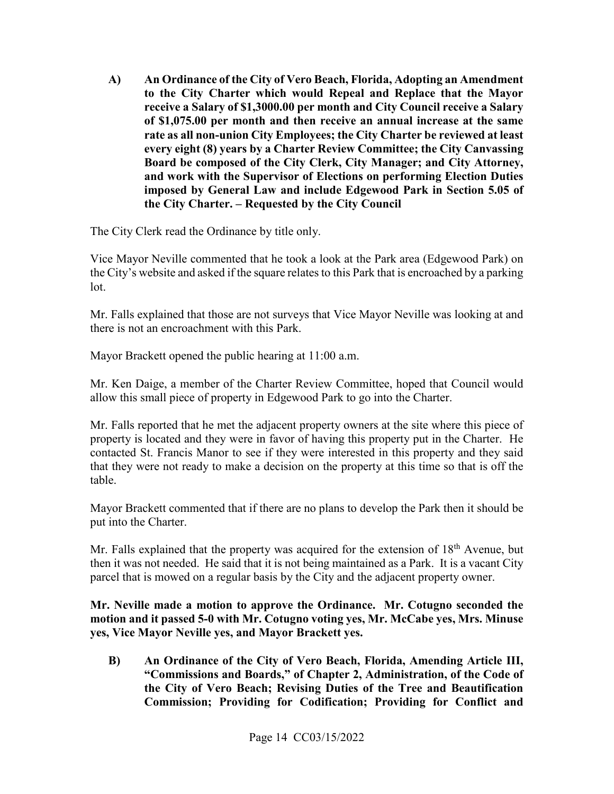**and work with the Supervisor of Elections on performing Election Duties A) An Ordinance of the City of Vero Beach, Florida, Adopting an Amendment to the City Charter which would Repeal and Replace that the Mayor receive a Salary of \$[1,3000.00](https://1,3000.00) per month and City Council receive a Salary of [\\$1,075.00](https://1,075.00) per month and then receive an annual increase at the same rate as all non-union City Employees; the City Charter be reviewed at least every eight (8) years by a Charter Review Committee; the City Canvassing Board be composed of the City Clerk, City Manager; and City Attorney, imposed by General Law and include Edgewood Park in Section 5.05 of the City Charter. – Requested by the City Council** 

The City Clerk read the Ordinance by title only.

 the City's website and asked if the square relates to this Park that is encroached by a parking Vice Mayor Neville commented that he took a look at the Park area (Edgewood Park) on lot.

Mr. Falls explained that those are not surveys that Vice Mayor Neville was looking at and there is not an encroachment with this Park.

Mayor Brackett opened the public hearing at 11:00 a.m.

Mr. Ken Daige, a member of the Charter Review Committee, hoped that Council would allow this small piece of property in Edgewood Park to go into the Charter.

 that they were not ready to make a decision on the property at this time so that is off the Mr. Falls reported that he met the adjacent property owners at the site where this piece of property is located and they were in favor of having this property put in the Charter. He contacted St. Francis Manor to see if they were interested in this property and they said table.

Mayor Brackett commented that if there are no plans to develop the Park then it should be put into the Charter.

Mr. Falls explained that the property was acquired for the extension of 18<sup>th</sup> Avenue, but then it was not needed. He said that it is not being maintained as a Park. It is a vacant City parcel that is mowed on a regular basis by the City and the adjacent property owner.

**Mr. Neville made a motion to approve the Ordinance. Mr. Cotugno seconded the motion and it passed 5-0 with Mr. Cotugno voting yes, Mr. McCabe yes, Mrs. Minuse yes, Vice Mayor Neville yes, and Mayor Brackett yes.** 

 **B) An Ordinance of the City of Vero Beach, Florida, Amending Article III, "Commissions and Boards," of Chapter 2, Administration, of the Code of the City of Vero Beach; Revising Duties of the Tree and Beautification Commission; Providing for Codification; Providing for Conflict and**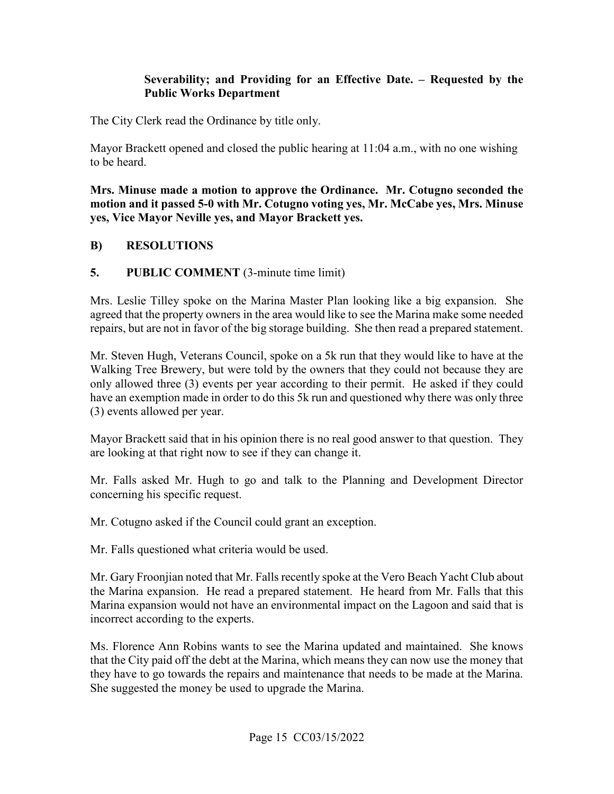#### **Severability; and Providing for an Effective Date. – Requested by the Public Works Department**

The City Clerk read the Ordinance by title only.

Mayor Brackett opened and closed the public hearing at 11:04 a.m., with no one wishing to be heard.

**Mrs. Minuse made a motion to approve the Ordinance. Mr. Cotugno seconded the motion and it passed 5-0 with Mr. Cotugno voting yes, Mr. McCabe yes, Mrs. Minuse yes, Vice Mayor Neville yes, and Mayor Brackett yes.** 

#### **B) RESOLUTIONS**

#### **5.** PUBLIC COMMENT (3-minute time limit)

Mrs. Leslie Tilley spoke on the Marina Master Plan looking like a big expansion. She agreed that the property owners in the area would like to see the Marina make some needed repairs, but are not in favor of the big storage building. She then read a prepared statement.

 Walking Tree Brewery, but were told by the owners that they could not because they are (3) events allowed per year. Mr. Steven Hugh, Veterans Council, spoke on a 5k run that they would like to have at the only allowed three (3) events per year according to their permit. He asked if they could have an exemption made in order to do this 5k run and questioned why there was only three

Mayor Brackett said that in his opinion there is no real good answer to that question. They are looking at that right now to see if they can change it.

Mr. Falls asked Mr. Hugh to go and talk to the Planning and Development Director concerning his specific request.

Mr. Cotugno asked if the Council could grant an exception.

Mr. Falls questioned what criteria would be used.

 Mr. Gary Froonjian noted that Mr. Falls recently spoke at the Vero Beach Yacht Club about the Marina expansion. He read a prepared statement. He heard from Mr. Falls that this Marina expansion would not have an environmental impact on the Lagoon and said that is incorrect according to the experts.

 that the City paid off the debt at the Marina, which means they can now use the money that they have to go towards the repairs and maintenance that needs to be made at the Marina. She suggested the money be used to upgrade the Marina. She suggested the money be used to upgrade the Marina. Ms. Florence Ann Robins wants to see the Marina updated and maintained. She knows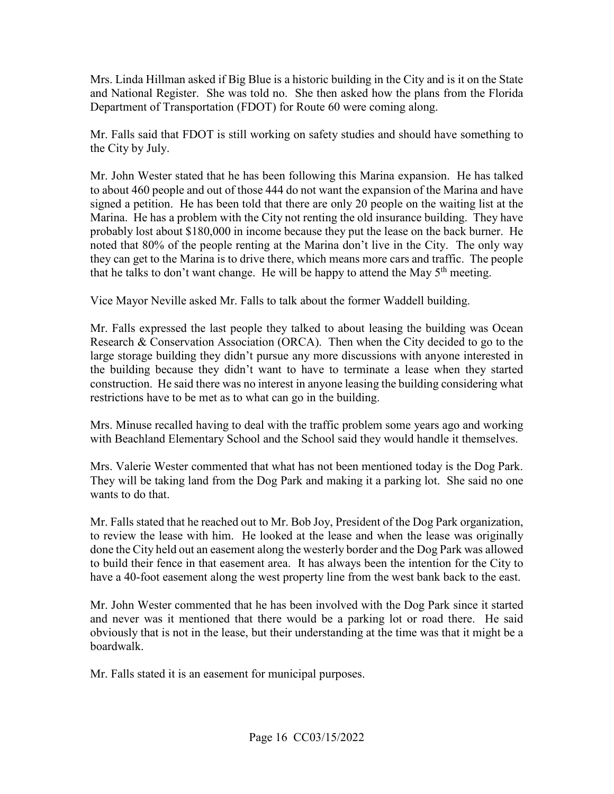Mrs. Linda Hillman asked if Big Blue is a historic building in the City and is it on the State Department of Transportation (FDOT) for Route 60 were coming along. and National Register. She was told no. She then asked how the plans from the Florida

 the City by July. Mr. Falls said that FDOT is still working on safety studies and should have something to

 to about 460 people and out of those 444 do not want the expansion of the Marina and have Marina. He has a problem with the City not renting the old insurance building. They have noted that 80% of the people renting at the Marina don't live in the City. The only way they can get to the Marina is to drive there, which means more cars and traffic. The people Mr. John Wester stated that he has been following this Marina expansion. He has talked signed a petition. He has been told that there are only 20 people on the waiting list at the probably lost about \$180,000 in income because they put the lease on the back burner. He

that he talks to don't want change. He will be happy to attend the May 5<sup>th</sup> meeting.<br>Vice Mayor Neville asked Mr. Falls to talk about the former Waddell building. Vice Mayor Neville asked Mr. Falls to talk about the former Waddell building.

 construction. He said there was no interest in anyone leasing the building considering what Mr. Falls expressed the last people they talked to about leasing the building was Ocean Research & Conservation Association (ORCA). Then when the City decided to go to the large storage building they didn't pursue any more discussions with anyone interested in the building because they didn't want to have to terminate a lease when they started restrictions have to be met as to what can go in the building.

 Mrs. Minuse recalled having to deal with the traffic problem some years ago and working with Beachland Elementary School and the School said they would handle it themselves.

Mrs. Valerie Wester commented that what has not been mentioned today is the Dog Park. They will be taking land from the Dog Park and making it a parking lot. She said no one wants to do that.

 to review the lease with him. He looked at the lease and when the lease was originally done the City held out an easement along the westerly border and the Dog Park was allowed to build their fence in that easement area. It has always been the intention for the City to have a 40-foot easement along the west property line from the west bank back to the east. Mr. Falls stated that he reached out to Mr. Bob Joy, President of the Dog Park organization,

 Mr. John Wester commented that he has been involved with the Dog Park since it started and never was it mentioned that there would be a parking lot or road there. He said obviously that is not in the lease, but their understanding at the time was that it might be a boardwalk.

Mr. Falls stated it is an easement for municipal purposes.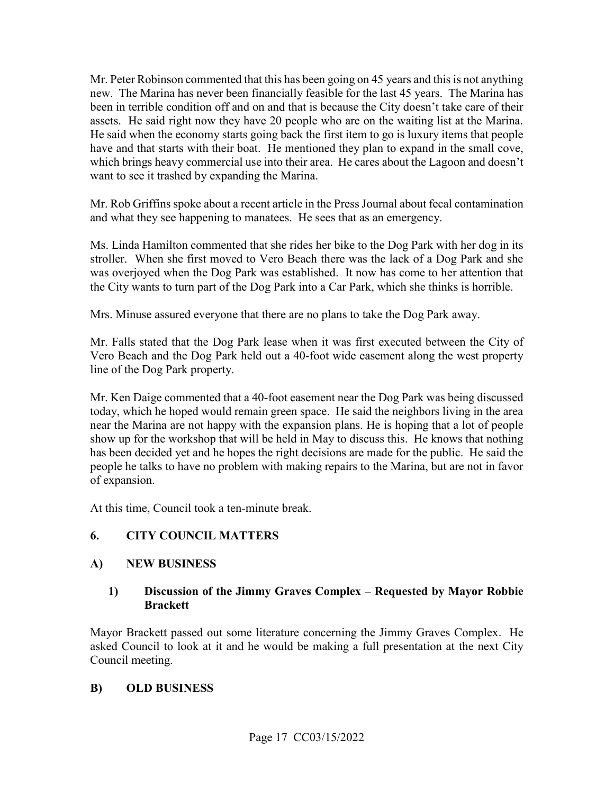Mr. Peter Robinson commented that this has been going on 45 years and this is not anything new. The Marina has never been financially feasible for the last 45 years. The Marina has assets. He said right now they have 20 people who are on the waiting list at the Marina. which brings heavy commercial use into their area. He cares about the Lagoon and doesn't want to see it trashed by expanding the Marina. been in terrible condition off and on and that is because the City doesn't take care of their He said when the economy starts going back the first item to go is luxury items that people have and that starts with their boat. He mentioned they plan to expand in the small cove,

Mr. Rob Griffins spoke about a recent article in the Press Journal about fecal contamination and what they see happening to manatees. He sees that as an emergency.

 was overjoyed when the Dog Park was established. It now has come to her attention that the City wants to turn part of the Dog Park into a Car Park, which she thinks is horrible. Ms. Linda Hamilton commented that she rides her bike to the Dog Park with her dog in its stroller. When she first moved to Vero Beach there was the lack of a Dog Park and she

Mrs. Minuse assured everyone that there are no plans to take the Dog Park away.

Mr. Falls stated that the Dog Park lease when it was first executed between the City of Vero Beach and the Dog Park held out a 40-foot wide easement along the west property line of the Dog Park property.

 Mr. Ken Daige commented that a 40-foot easement near the Dog Park was being discussed has been decided yet and he hopes the right decisions are made for the public. He said the today, which he hoped would remain green space. He said the neighbors living in the area near the Marina are not happy with the expansion plans. He is hoping that a lot of people show up for the workshop that will be held in May to discuss this. He knows that nothing people he talks to have no problem with making repairs to the Marina, but are not in favor of expansion.

At this time, Council took a ten-minute break.

#### **6. CITY COUNCIL MATTERS**

#### **A) NEW BUSINESS**

#### **1) Discussion of the Jimmy Graves Complex – Requested by Mayor Robbie Brackett**

Mayor Brackett passed out some literature concerning the Jimmy Graves Complex. He asked Council to look at it and he would be making a full presentation at the next City Council meeting.

#### **B) OLD BUSINESS**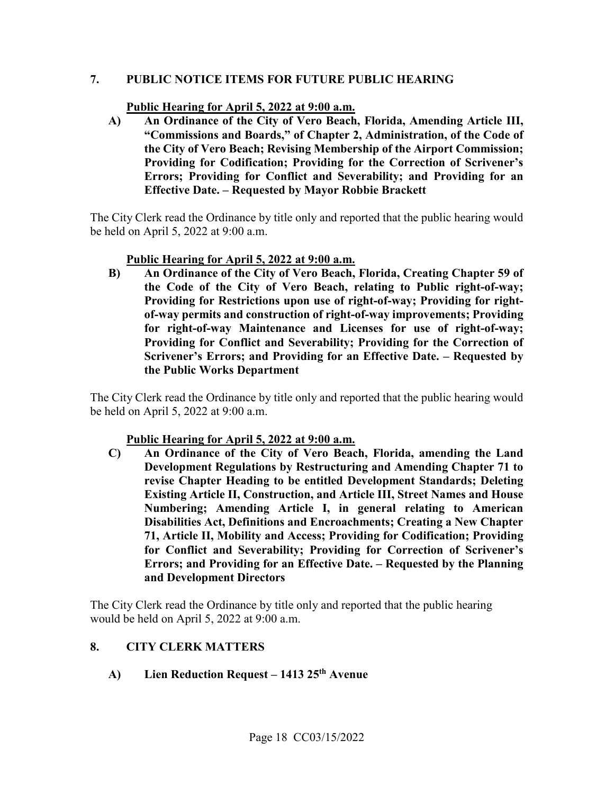#### PUBLIC NOTICE ITEMS FOR FUTURE PUBLIC HEARING

#### Public Hearing for April 5, 2022 at 9:00 a.m.

**PUBLIC NOTICE ITEMS FOR FUTURE PUBLIC HEARING<br>
<u>Public Hearing for April 5, 2022 at 9:00 a.m.</u><br>
A) An Ordinance of the City of Vero Beach, Florida, Amending Article III, "Commissions and Boards," of Chapter 2, Administration, of the Code of the City of Vero Beach; Revising Membership of the Airport Commission; Providing for Codification; Providing for the Correction of Scrivener's Errors; Providing for Conflict and Severability; and Providing for an Effective Date. – Requested by Mayor Robbie Brackett** 

The City Clerk read the Ordinance by title only and reported that the public hearing would be held on April 5, 2022 at 9:00 a.m.

#### **Public Hearing for April 5, 2022 at 9:00 a.m.**

 **of-way permits and construction of right-of-way improvements; Providing B) An Ordinance of the City of Vero Beach, Florida, Creating Chapter 59 of the Code of the City of Vero Beach, relating to Public right-of-way; Providing for Restrictions upon use of right-of-way; Providing for rightfor right-of-way Maintenance and Licenses for use of right-of-way; Providing for Conflict and Severability; Providing for the Correction of Scrivener's Errors; and Providing for an Effective Date. – Requested by the Public Works Department** 

The City Clerk read the Ordinance by title only and reported that the public hearing would be held on April 5, 2022 at 9:00 a.m.

#### **Public Hearing for April 5, 2022 at 9:00 a.m.**

**C) An Ordinance of the City of Vero Beach, Florida, amending the Land Development Regulations by Restructuring and Amending Chapter 71 to revise Chapter Heading to be entitled Development Standards; Deleting Existing Article II, Construction, and Article III, Street Names and House Numbering; Amending Article I, in general relating to American Disabilities Act, Definitions and Encroachments; Creating a New Chapter 71, Article II, Mobility and Access; Providing for Codification; Providing for Conflict and Severability; Providing for Correction of Scrivener's Errors; and Providing for an Effective Date. – Requested by the Planning and Development Directors** 

The City Clerk read the Ordinance by title only and reported that the public hearing would be held on April 5, 2022 at 9:00 a.m.

#### **8. CITY CLERK MATTERS**

 **A) Lien Reduction Request – 1413 25th Avenue**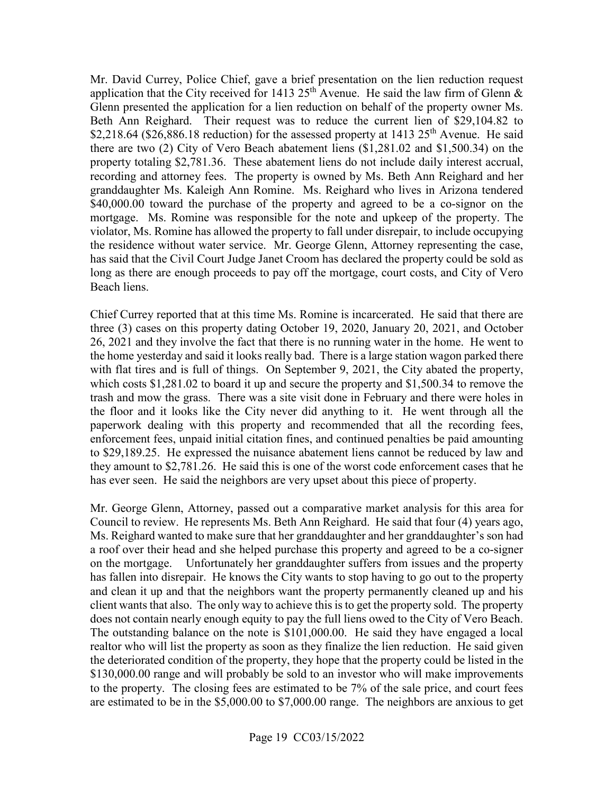application that the City received for 1413 25<sup>th</sup> Avenue. He said the law firm of Glenn & Glenn presented the application for a lien reduction on behalf of the property owner Ms. Mr. David Currey, Police Chief, gave a brief presentation on the lien reduction request Beth Ann Reighard. Their request was to reduce the current lien of \$[29,104.82](https://29,104.82) to \$[2,218.64](https://2,218.64) ([\\$26,886.18](https://26,886.18) reduction) for the assessed property at 1413 25<sup>th</sup> Avenue. He said there are two (2) City of Vero Beach abatement liens (\$[1,281.02](https://1,281.02) and [\\$1,500.34](https://1,500.34)) on the property totaling [\\$2,781.36.](https://2,781.36) These abatement liens do not include daily interest accrual, recording and attorney fees. The property is owned by Ms. Beth Ann Reighard and her granddaughter Ms. Kaleigh Ann Romine. Ms. Reighard who lives in Arizona tendered \$[40,000.00](https://40,000.00) toward the purchase of the property and agreed to be a co-signor on the mortgage. Ms. Romine was responsible for the note and upkeep of the property. The violator, Ms. Romine has allowed the property to fall under disrepair, to include occupying the residence without water service. Mr. George Glenn, Attorney representing the case, has said that the Civil Court Judge Janet Croom has declared the property could be sold as long as there are enough proceeds to pay off the mortgage, court costs, and City of Vero Beach liens.

 Chief Currey reported that at this time Ms. Romine is incarcerated. He said that there are three (3) cases on this property dating October 19, 2020, January 20, 2021, and October 26, 2021 and they involve the fact that there is no running water in the home. He went to with flat tires and is full of things. On September 9, 2021, the City abated the property, trash and mow the grass. There was a site visit done in February and there were holes in they amount to \$[2,781.26.](https://2,781.26) He said this is one of the worst code enforcement cases that he has ever seen. He said the neighbors are very upset about this piece of property. the home yesterday and said it looks really bad. There is a large station wagon parked there which costs \$[1,281.02](https://1,281.02) to board it up and secure the property and \$[1,500.34](https://1,500.34) to remove the the floor and it looks like the City never did anything to it. He went through all the paperwork dealing with this property and recommended that all the recording fees, enforcement fees, unpaid initial citation fines, and continued penalties be paid amounting to \$[29,189.25.](https://29,189.25) He expressed the nuisance abatement liens cannot be reduced by law and

 Council to review. He represents Ms. Beth Ann Reighard. He said that four (4) years ago, on the mortgage. Unfortunately her granddaughter suffers from issues and the property and clean it up and that the neighbors want the property permanently cleaned up and his does not contain nearly enough equity to pay the full liens owed to the City of Vero Beach. Mr. George Glenn, Attorney, passed out a comparative market analysis for this area for Ms. Reighard wanted to make sure that her granddaughter and her granddaughter's son had a roof over their head and she helped purchase this property and agreed to be a co-signer has fallen into disrepair. He knows the City wants to stop having to go out to the property client wants that also. The only way to achieve this is to get the property sold. The property The outstanding balance on the note is [\\$101,000.00](https://101,000.00). He said they have engaged a local realtor who will list the property as soon as they finalize the lien reduction. He said given the deteriorated condition of the property, they hope that the property could be listed in the \$[130,000.00](https://130,000.00) range and will probably be sold to an investor who will make improvements to the property. The closing fees are estimated to be 7% of the sale price, and court fees are estimated to be in the \$[5,000.00](https://5,000.00) to \$[7,000.00](https://7,000.00) range. The neighbors are anxious to get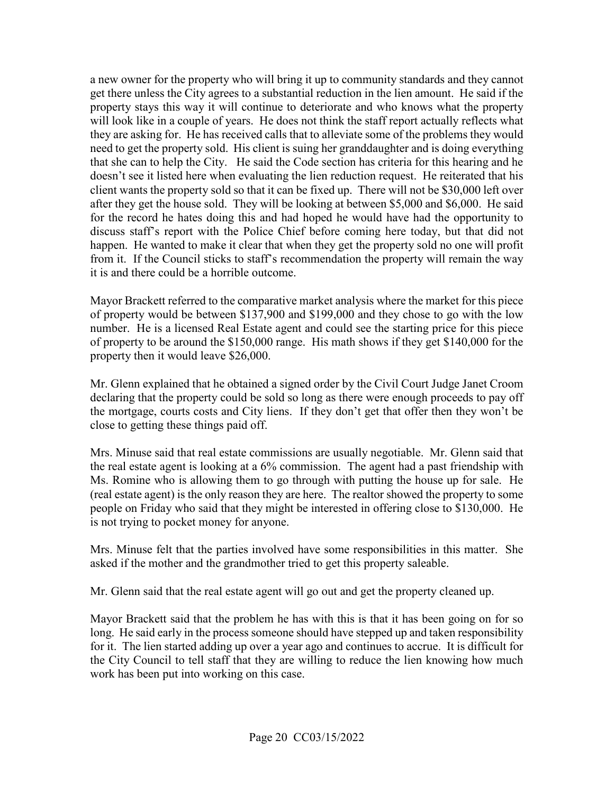a new owner for the property who will bring it up to community standards and they cannot they are asking for. He has received calls that to alleviate some of the problems they would need to get the property sold. His client is suing her granddaughter and is doing everything that she can to help the City. He said the Code section has criteria for this hearing and he client wants the property sold so that it can be fixed up. There will not be \$30,000 left over for the record he hates doing this and had hoped he would have had the opportunity to from it. If the Council sticks to staff's recommendation the property will remain the way it is and there could be a horrible outcome. get there unless the City agrees to a substantial reduction in the lien amount. He said if the property stays this way it will continue to deteriorate and who knows what the property will look like in a couple of years. He does not think the staff report actually reflects what doesn't see it listed here when evaluating the lien reduction request. He reiterated that his after they get the house sold. They will be looking at between \$5,000 and \$6,000. He said discuss staff's report with the Police Chief before coming here today, but that did not happen. He wanted to make it clear that when they get the property sold no one will profit

 number. He is a licensed Real Estate agent and could see the starting price for this piece of property to be around the \$150,000 range. His math shows if they get \$140,000 for the Mayor Brackett referred to the comparative market analysis where the market for this piece of property would be between \$137,900 and \$199,000 and they chose to go with the low property then it would leave \$26,000.

 declaring that the property could be sold so long as there were enough proceeds to pay off the mortgage, courts costs and City liens. If they don't get that offer then they won't be Mr. Glenn explained that he obtained a signed order by the Civil Court Judge Janet Croom close to getting these things paid off.

 the real estate agent is looking at a 6% commission. The agent had a past friendship with (real estate agent) is the only reason they are here. The realtor showed the property to some Mrs. Minuse said that real estate commissions are usually negotiable. Mr. Glenn said that Ms. Romine who is allowing them to go through with putting the house up for sale. He people on Friday who said that they might be interested in offering close to \$130,000. He is not trying to pocket money for anyone.

 asked if the mother and the grandmother tried to get this property saleable. Mrs. Minuse felt that the parties involved have some responsibilities in this matter. She

Mr. Glenn said that the real estate agent will go out and get the property cleaned up.

 Mayor Brackett said that the problem he has with this is that it has been going on for so for it. The lien started adding up over a year ago and continues to accrue. It is difficult for long. He said early in the process someone should have stepped up and taken responsibility the City Council to tell staff that they are willing to reduce the lien knowing how much work has been put into working on this case.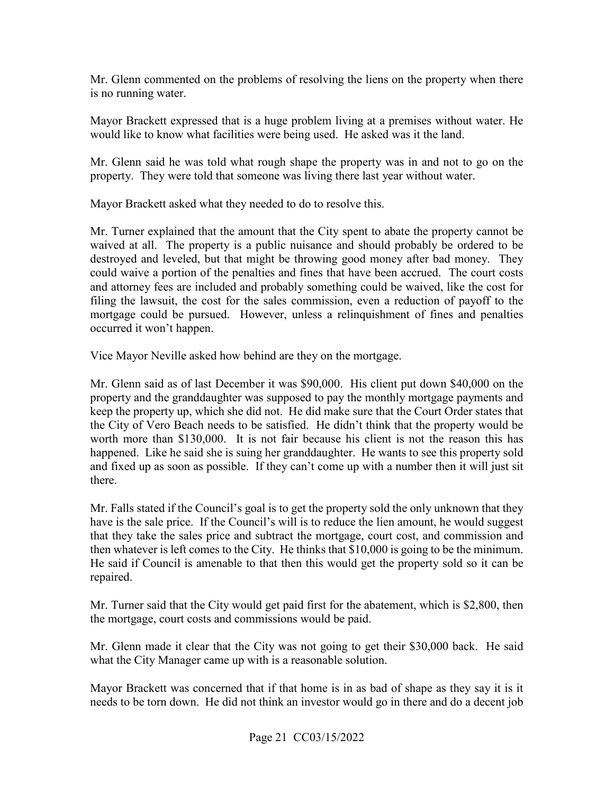is no running water. Mr. Glenn commented on the problems of resolving the liens on the property when there

is no running water.<br>Mayor Brackett expressed that is a huge problem living at a premises without water. He would like to know what facilities were being used. He asked was it the land.

 property. They were told that someone was living there last year without water. Mayor Brackett asked what they needed to do to resolve this. Mr. Glenn said he was told what rough shape the property was in and not to go on the

Mayor Brackett asked what they needed to do to resolve this.

 Mr. Turner explained that the amount that the City spent to abate the property cannot be waived at all. The property is a public nuisance and should probably be ordered to be could waive a portion of the penalties and fines that have been accrued. The court costs and attorney fees are included and probably something could be waived, like the cost for filing the lawsuit, the cost for the sales commission, even a reduction of payoff to the occurred it won't happen. destroyed and leveled, but that might be throwing good money after bad money. They mortgage could be pursued. However, unless a relinquishment of fines and penalties

Vice Mayor Neville asked how behind are they on the mortgage.

 property and the granddaughter was supposed to pay the monthly mortgage payments and the City of Vero Beach needs to be satisfied. He didn't think that the property would be worth more than \$130,000. It is not fair because his client is not the reason this has happened. Like he said she is suing her granddaughter. He wants to see this property sold and fixed up as soon as possible. If they can't come up with a number then it will just sit Mr. Glenn said as of last December it was \$90,000. His client put down \$40,000 on the keep the property up, which she did not. He did make sure that the Court Order states that there.

 have is the sale price. If the Council's will is to reduce the lien amount, he would suggest then whatever is left comes to the City. He thinks that \$10,000 is going to be the minimum. repaired. Mr. Falls stated if the Council's goal is to get the property sold the only unknown that they that they take the sales price and subtract the mortgage, court cost, and commission and He said if Council is amenable to that then this would get the property sold so it can be

Mr. Turner said that the City would get paid first for the abatement, which is \$2,800, then the mortgage, court costs and commissions would be paid.

Mr. Glenn made it clear that the City was not going to get their \$30,000 back. He said what the City Manager came up with is a reasonable solution.

 Mayor Brackett was concerned that if that home is in as bad of shape as they say it is it needs to be torn down. He did not think an investor would go in there and do a decent job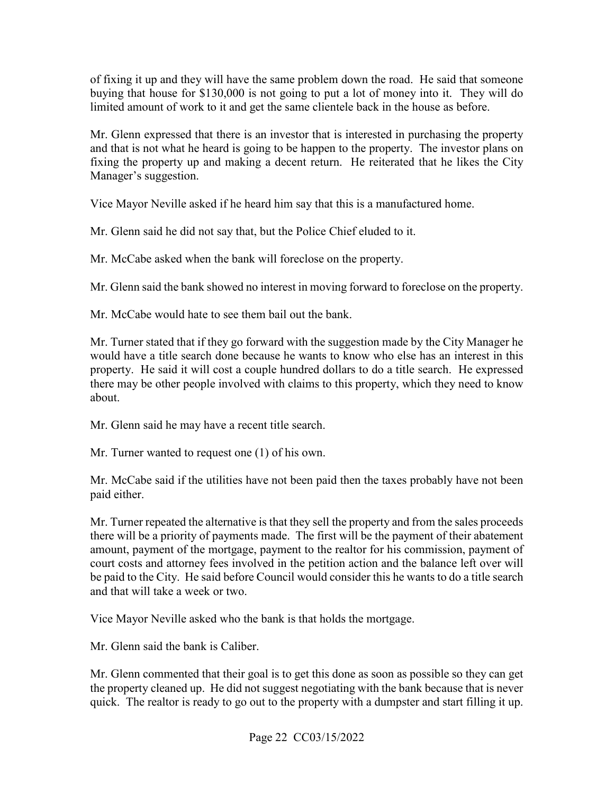buying that house for \$130,000 is not going to put a lot of money into it. They will do limited amount of work to it and get the same clientele back in the house as before. of fixing it up and they will have the same problem down the road. He said that someone

Mr. Glenn expressed that there is an investor that is interested in purchasing the property and that is not what he heard is going to be happen to the property. The investor plans on fixing the property up and making a decent return. He reiterated that he likes the City Manager's suggestion.

Vice Mayor Neville asked if he heard him say that this is a manufactured home.

Mr. Glenn said he did not say that, but the Police Chief eluded to it.

Mr. McCabe asked when the bank will foreclose on the property.

Mr. Glenn said the bank showed no interest in moving forward to foreclose on the property. Mr. McCabe would hate to see them bail out the bank.

about. Mr. Turner stated that if they go forward with the suggestion made by the City Manager he would have a title search done because he wants to know who else has an interest in this property. He said it will cost a couple hundred dollars to do a title search. He expressed there may be other people involved with claims to this property, which they need to know

Mr. Glenn said he may have a recent title search.

about. Mr. Glenn said he may have a recent title search. Mr. Turner wanted to request one (1) of his own.

Mr. McCabe said if the utilities have not been paid then the taxes probably have not been paid either.

 amount, payment of the mortgage, payment to the realtor for his commission, payment of be paid to the City. He said before Council would consider this he wants to do a title search Mr. Turner repeated the alternative is that they sell the property and from the sales proceeds there will be a priority of payments made. The first will be the payment of their abatement court costs and attorney fees involved in the petition action and the balance left over will and that will take a week or two.

Vice Mayor Neville asked who the bank is that holds the mortgage.

Mr. Glenn said the bank is Caliber.

 Mr. Glenn commented that their goal is to get this done as soon as possible so they can get quick. The realtor is ready to go out to the property with a dumpster and start filling it up.<br>Page 22 CC03/15/2022 the property cleaned up. He did not suggest negotiating with the bank because that is never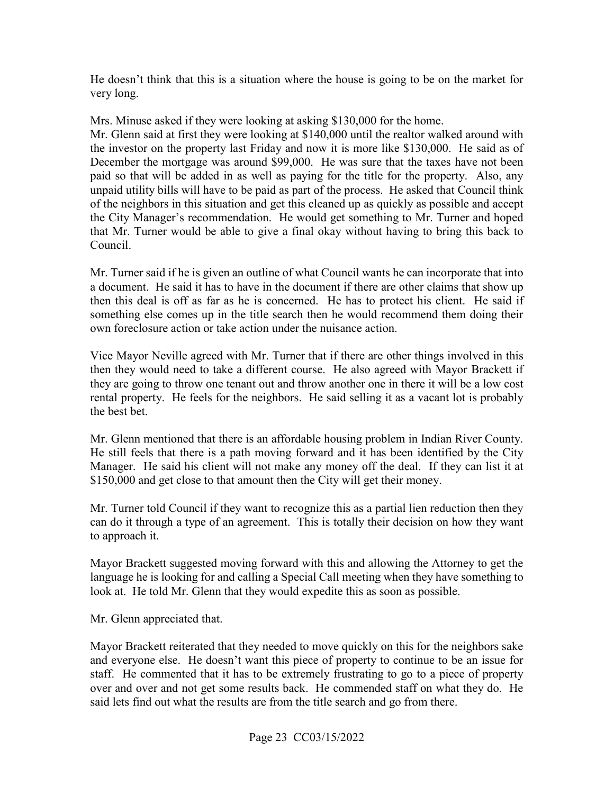He doesn't think that this is a situation where the house is going to be on the market for very long.

Mrs. Minuse asked if they were looking at asking \$130,000 for the home.

 unpaid utility bills will have to be paid as part of the process. He asked that Council think Mr. Glenn said at first they were looking at \$140,000 until the realtor walked around with the investor on the property last Friday and now it is more like \$130,000. He said as of December the mortgage was around \$99,000. He was sure that the taxes have not been paid so that will be added in as well as paying for the title for the property. Also, any of the neighbors in this situation and get this cleaned up as quickly as possible and accept the City Manager's recommendation. He would get something to Mr. Turner and hoped that Mr. Turner would be able to give a final okay without having to bring this back to Council.

 a document. He said it has to have in the document if there are other claims that show up Mr. Turner said if he is given an outline of what Council wants he can incorporate that into then this deal is off as far as he is concerned. He has to protect his client. He said if something else comes up in the title search then he would recommend them doing their own foreclosure action or take action under the nuisance action.

 then they would need to take a different course. He also agreed with Mayor Brackett if rental property. He feels for the neighbors. He said selling it as a vacant lot is probably Vice Mayor Neville agreed with Mr. Turner that if there are other things involved in this they are going to throw one tenant out and throw another one in there it will be a low cost the best bet.

Mr. Glenn mentioned that there is an affordable housing problem in Indian River County. Manager. He said his client will not make any money off the deal. If they can list it at \$150,000 and get close to that amount then the City will get their money. He still feels that there is a path moving forward and it has been identified by the City

 can do it through a type of an agreement. This is totally their decision on how they want Mr. Turner told Council if they want to recognize this as a partial lien reduction then they. to approach it.

Mayor Brackett suggested moving forward with this and allowing the Attorney to get the language he is looking for and calling a Special Call meeting when they have something to look at. He told Mr. Glenn that they would expedite this as soon as possible.

Mr. Glenn appreciated that.

Mr. Glenn appreciated that.<br>Mayor Brackett reiterated that they needed to move quickly on this for the neighbors sake over and over and not get some results back. He commended staff on what they do. He said lets find out what the results are from the title search and go from there. and everyone else. He doesn't want this piece of property to continue to be an issue for staff. He commented that it has to be extremely frustrating to go to a piece of property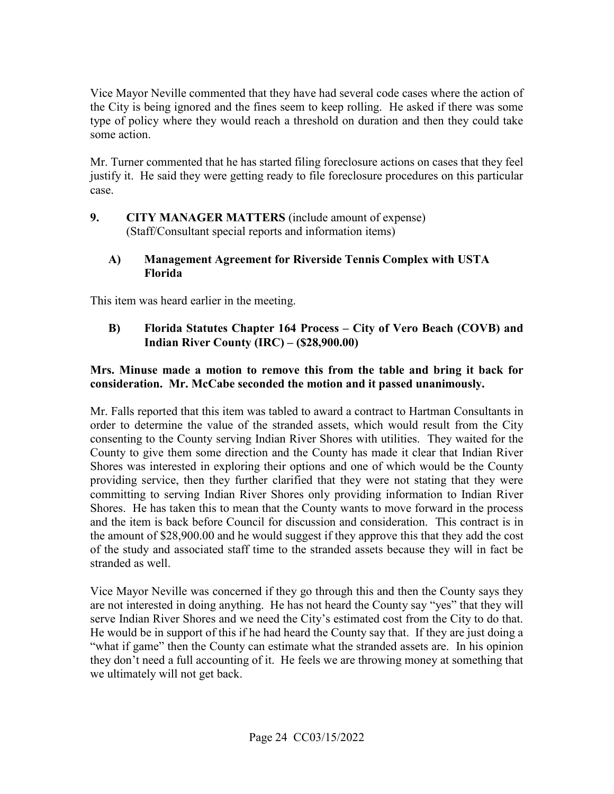type of policy where they would reach a threshold on duration and then they could take Vice Mayor Neville commented that they have had several code cases where the action of the City is being ignored and the fines seem to keep rolling. He asked if there was some some action.

 Mr. Turner commented that he has started filing foreclosure actions on cases that they feel justify it. He said they were getting ready to file foreclosure procedures on this particular case.

 $9.$  (Staff/Consultant special reports and information items) **9. CITY MANAGER MATTERS** (include amount of expense)

#### **A) Management Agreement for Riverside Tennis Complex with USTA Florida**

This item was heard earlier in the meeting.

 **B) Florida Statutes Chapter 164 Process – City of Vero Beach (COVB) and Indian River County (IRC) – (\$[28,900.00\)](https://28,900.00)** 

#### **Mrs. Minuse made a motion to remove this from the table and bring it back for consideration. Mr. McCabe seconded the motion and it passed unanimously.**

 providing service, then they further clarified that they were not stating that they were Shores. He has taken this to mean that the County wants to move forward in the process the amount of \$[28,900.00](https://28,900.00) and he would suggest if they approve this that they add the cost stranded as well. Mr. Falls reported that this item was tabled to award a contract to Hartman Consultants in order to determine the value of the stranded assets, which would result from the City consenting to the County serving Indian River Shores with utilities. They waited for the County to give them some direction and the County has made it clear that Indian River Shores was interested in exploring their options and one of which would be the County committing to serving Indian River Shores only providing information to Indian River and the item is back before Council for discussion and consideration. This contract is in of the study and associated staff time to the stranded assets because they will in fact be

serve Indian River Shores and we need the City's estimated cost from the City to do that. serve Indian River Shores and we need the City's estimated cost from the City to do that. He would be in support of this if he had heard the County say that. If they are just doing a "what if game" then the County can estimate what the stranded assets are. In his opinion they don't need a full accounting of it. He feels we are throwing money at something that we ultimately will not get back. Vice Mayor Neville was concerned if they go through this and then the County says they are not interested in doing anything. He has not heard the County say "yes" that they will we ultimately will not get back.<br>Page 24 CC03/15/2022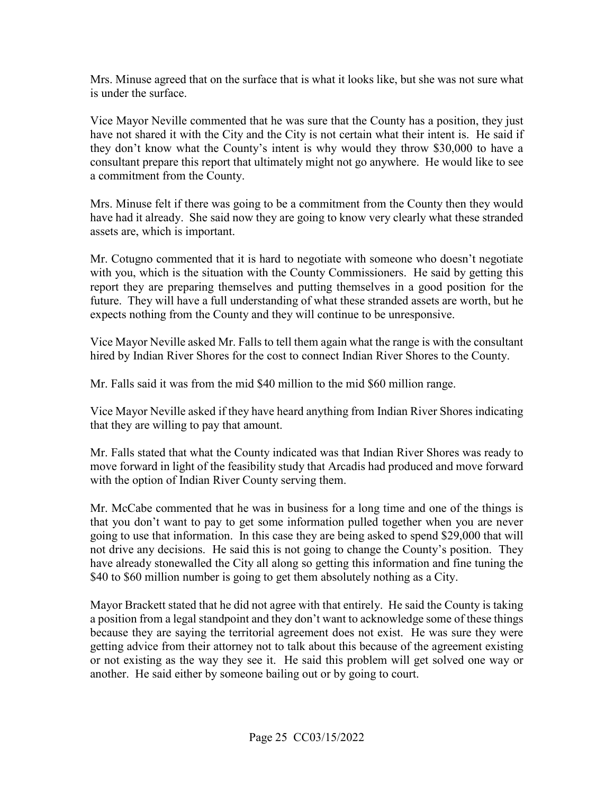Mrs. Minuse agreed that on the surface that is what it looks like, but she was not sure what is under the surface.

 have not shared it with the City and the City is not certain what their intent is. He said if Vice Mayor Neville commented that he was sure that the County has a position, they just they don't know what the County's intent is why would they throw \$30,000 to have a consultant prepare this report that ultimately might not go anywhere. He would like to see a commitment from the County.

 have had it already. She said now they are going to know very clearly what these stranded Mrs. Minuse felt if there was going to be a commitment from the County then they would assets are, which is important.

 with you, which is the situation with the County Commissioners. He said by getting this expects nothing from the County and they will continue to be unresponsive. Mr. Cotugno commented that it is hard to negotiate with someone who doesn't negotiate report they are preparing themselves and putting themselves in a good position for the future. They will have a full understanding of what these stranded assets are worth, but he

 hired by Indian River Shores for the cost to connect Indian River Shores to the County. Vice Mayor Neville asked Mr. Falls to tell them again what the range is with the consultant

Mr. Falls said it was from the mid \$40 million to the mid \$60 million range.

Vice Mayor Neville asked if they have heard anything from Indian River Shores indicating that they are willing to pay that amount.

Mr. Falls stated that what the County indicated was that Indian River Shores was ready to move forward in light of the feasibility study that Arcadis had produced and move forward with the option of Indian River County serving them.

 not drive any decisions. He said this is not going to change the County's position. They \$40 to \$60 million number is going to get them absolutely nothing as a City. Mr. McCabe commented that he was in business for a long time and one of the things is that you don't want to pay to get some information pulled together when you are never going to use that information. In this case they are being asked to spend \$29,000 that will have already stonewalled the City all along so getting this information and fine tuning the

 because they are saying the territorial agreement does not exist. He was sure they were or not existing as the way they see it. He said this problem will get solved one way or another. He said either by someone bailing out or by going to court. Mayor Brackett stated that he did not agree with that entirely. He said the County is taking a position from a legal standpoint and they don't want to acknowledge some of these things getting advice from their attorney not to talk about this because of the agreement existing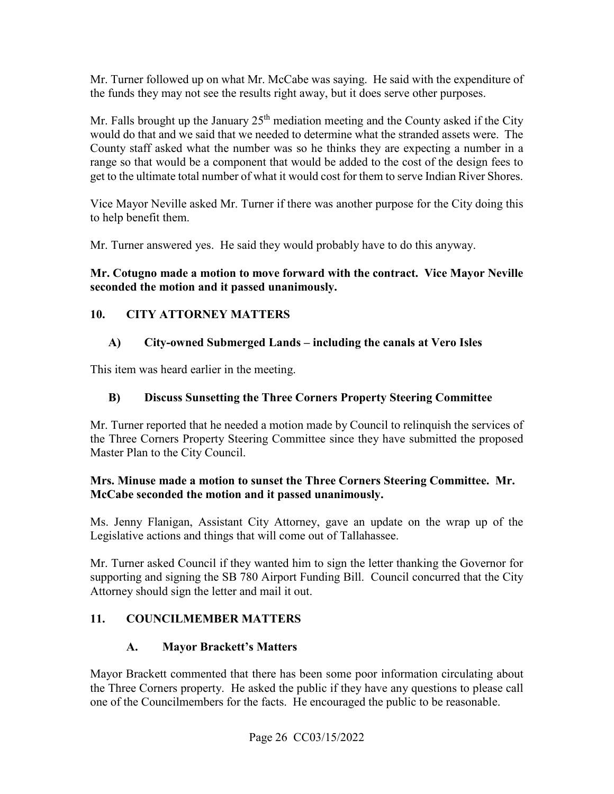Mr. Turner followed up on what Mr. McCabe was saying. He said with the expenditure of the funds they may not see the results right away, but it does serve other purposes.

 County staff asked what the number was so he thinks they are expecting a number in a range so that would be a component that would be added to the cost of the design fees to get to the ultimate total number of what it would cost for them to serve Indian River Shores. Mr. Falls brought up the January  $25<sup>th</sup>$  mediation meeting and the County asked if the City would do that and we said that we needed to determine what the stranded assets were. The

Vice Mayor Neville asked Mr. Turner if there was another purpose for the City doing this to help benefit them.

Mr. Turner answered yes. He said they would probably have to do this anyway.

# **seconded the motion and it passed unanimously. 10. CITY ATTORNEY MATTERS Mr. Cotugno made a motion to move forward with the contract. Vice Mayor Neville**

## **A) City-owned Submerged Lands – including the canals at Vero Isles**

This item was heard earlier in the meeting.

#### **B) Discuss Sunsetting the Three Corners Property Steering Committee**

Mr. Turner reported that he needed a motion made by Council to relinquish the services of the Three Corners Property Steering Committee since they have submitted the proposed Master Plan to the City Council.

#### **Mrs. Minuse made a motion to sunset the Three Corners Steering Committee. Mr. McCabe seconded the motion and it passed unanimously.**

Ms. Jenny Flanigan, Assistant City Attorney, gave an update on the wrap up of the Legislative actions and things that will come out of Tallahassee.

Mr. Turner asked Council if they wanted him to sign the letter thanking the Governor for supporting and signing the SB 780 Airport Funding Bill. Council concurred that the City Attorney should sign the letter and mail it out.

## **11. COUNCILMEMBER MATTERS**

#### **A. Mayor Brackett's Matters**

Mayor Brackett commented that there has been some poor information circulating about the Three Corners property. He asked the public if they have any questions to please call one of the Councilmembers for the facts. He encouraged the public to be reasonable.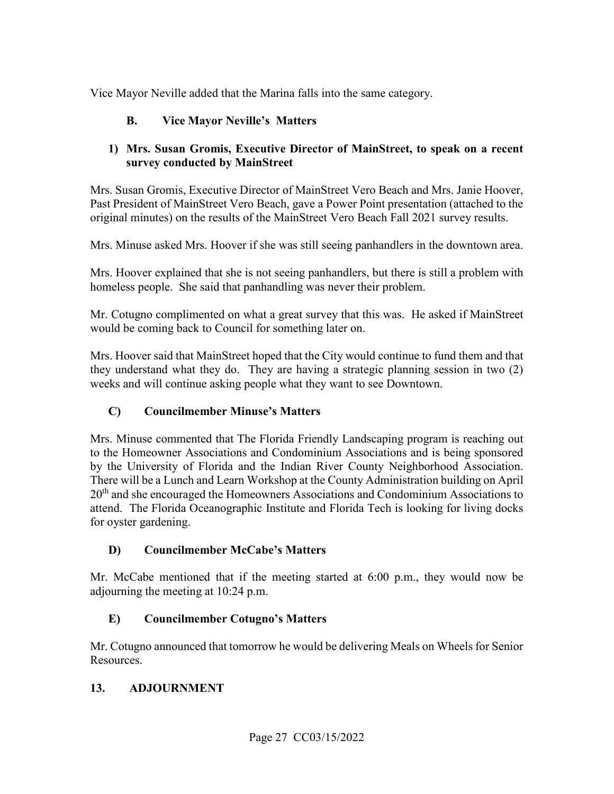Vice Mayor Neville added that the Marina falls into the same category.

#### **B. Vice Mayor Neville's Matters**

#### **1) Mrs. Susan Gromis, Executive Director of MainStreet, to speak on a recent survey conducted by MainStreet**

 original minutes) on the results of the MainStreet Vero Beach Fall 2021 survey results. Mrs. Susan Gromis, Executive Director of MainStreet Vero Beach and Mrs. Janie Hoover, Past President of MainStreet Vero Beach, gave a Power Point presentation (attached to the

Mrs. Minuse asked Mrs. Hoover if she was still seeing panhandlers in the downtown area.

Mrs. Hoover explained that she is not seeing panhandlers, but there is still a problem with homeless people. She said that panhandling was never their problem.

 Mr. Cotugno complimented on what a great survey that this was. He asked if MainStreet would be coming back to Council for something later on.

 weeks and will continue asking people what they want to see Downtown. Mrs. Hoover said that MainStreet hoped that the City would continue to fund them and that they understand what they do. They are having a strategic planning session in two (2)

#### **C) Councilmember Minuse's Matters**

 Mrs. Minuse commented that The Florida Friendly Landscaping program is reaching out There will be a Lunch and Learn Workshop at the County Administration building on April attend. The Florida Oceanographic Institute and Florida Tech is looking for living docks for oyster gardening. to the Homeowner Associations and Condominium Associations and is being sponsored by the University of Florida and the Indian River County Neighborhood Association.  $20<sup>th</sup>$  and she encouraged the Homeowners Associations and Condominium Associations to

#### **D) Councilmember McCabe's Matters**

 Mr. McCabe mentioned that if the meeting started at 6:00 p.m., they would now be adjourning the meeting at 10:24 p.m.

#### **E) Councilmember Cotugno's Matters**

Mr. Cotugno announced that tomorrow he would be delivering Meals on Wheels for Senior Resources.

#### **13. ADJOURNMENT**